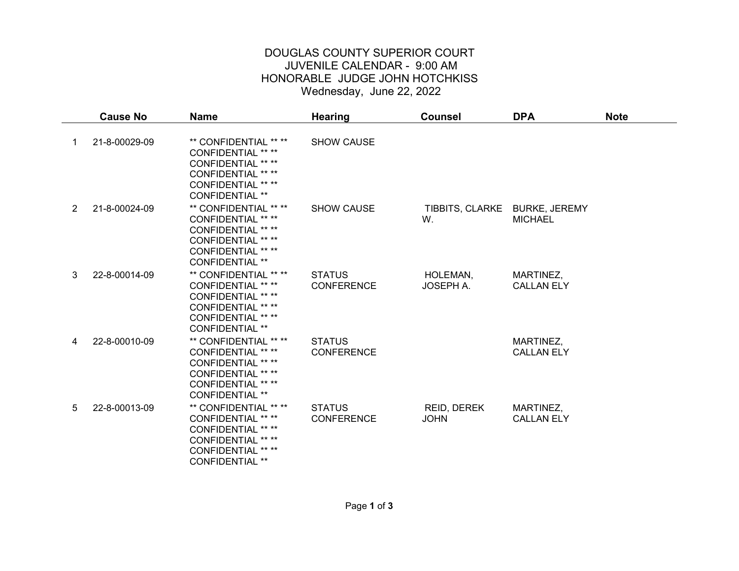## DOUGLAS COUNTY SUPERIOR COURT JUVENILE CALENDAR - 9:00 AM HONORABLE JUDGE JOHN HOTCHKISS Wednesday, June 22, 2022

|                | <b>Cause No</b> | <b>Name</b>                                                                                                                                                         | <b>Hearing</b>                     | <b>Counsel</b>                      | <b>DPA</b>                     | <b>Note</b> |
|----------------|-----------------|---------------------------------------------------------------------------------------------------------------------------------------------------------------------|------------------------------------|-------------------------------------|--------------------------------|-------------|
| 1              | 21-8-00029-09   | ** CONFIDENTIAL ** **<br>CONFIDENTIAL ** **<br><b>CONFIDENTIAL ** **</b><br><b>CONFIDENTIAL ** **</b><br>CONFIDENTIAL ** **<br><b>CONFIDENTIAL **</b>               | <b>SHOW CAUSE</b>                  |                                     |                                |             |
| $\overline{2}$ | 21-8-00024-09   | ** CONFIDENTIAL ** **<br><b>CONFIDENTIAL ** **</b><br><b>CONFIDENTIAL ** **</b><br><b>CONFIDENTIAL ** **</b><br><b>CONFIDENTIAL ** **</b><br><b>CONFIDENTIAL **</b> | <b>SHOW CAUSE</b>                  | TIBBITS, CLARKE BURKE, JEREMY<br>W. | <b>MICHAEL</b>                 |             |
| 3              | 22-8-00014-09   | ** CONFIDENTIAL ** **<br><b>CONFIDENTIAL ** **</b><br><b>CONFIDENTIAL ** **</b><br><b>CONFIDENTIAL ** **</b><br><b>CONFIDENTIAL ** **</b><br><b>CONFIDENTIAL **</b> | <b>STATUS</b><br><b>CONFERENCE</b> | HOLEMAN,<br>JOSEPH A.               | MARTINEZ,<br><b>CALLAN ELY</b> |             |
| 4              | 22-8-00010-09   | ** CONFIDENTIAL ** **<br>CONFIDENTIAL ** **<br><b>CONFIDENTIAL ** **</b><br><b>CONFIDENTIAL ** **</b><br><b>CONFIDENTIAL ** **</b><br><b>CONFIDENTIAL **</b>        | <b>STATUS</b><br><b>CONFERENCE</b> |                                     | MARTINEZ,<br><b>CALLAN ELY</b> |             |
| 5              | 22-8-00013-09   | ** CONFIDENTIAL ** **<br>CONFIDENTIAL ** **<br><b>CONFIDENTIAL ** **</b><br><b>CONFIDENTIAL ** **</b><br><b>CONFIDENTIAL ** **</b><br><b>CONFIDENTIAL **</b>        | <b>STATUS</b><br><b>CONFERENCE</b> | REID, DEREK<br><b>JOHN</b>          | MARTINEZ,<br><b>CALLAN ELY</b> |             |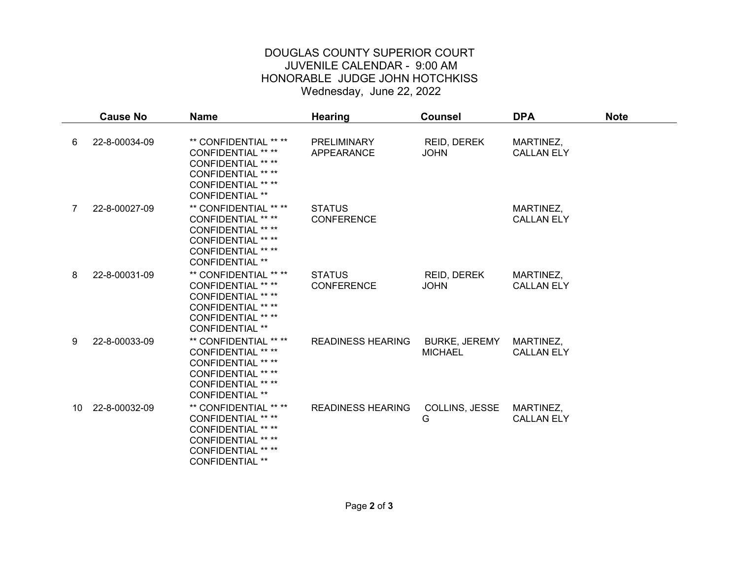## DOUGLAS COUNTY SUPERIOR COURT JUVENILE CALENDAR - 9:00 AM HONORABLE JUDGE JOHN HOTCHKISS Wednesday, June 22, 2022

|              | <b>Cause No</b> | <b>Name</b>                                                                                                                                                         | <b>Hearing</b>                     | <b>Counsel</b>                         | <b>DPA</b>                     | <b>Note</b> |
|--------------|-----------------|---------------------------------------------------------------------------------------------------------------------------------------------------------------------|------------------------------------|----------------------------------------|--------------------------------|-------------|
| 6            | 22-8-00034-09   | ** CONFIDENTIAL ** **<br>CONFIDENTIAL ** **<br><b>CONFIDENTIAL ** **</b><br><b>CONFIDENTIAL ** **</b><br><b>CONFIDENTIAL ** **</b><br>CONFIDENTIAL **               | <b>PRELIMINARY</b><br>APPEARANCE   | REID, DEREK<br><b>JOHN</b>             | MARTINEZ,<br><b>CALLAN ELY</b> |             |
| $\mathbf{7}$ | 22-8-00027-09   | ** CONFIDENTIAL ** **<br><b>CONFIDENTIAL ** **</b><br><b>CONFIDENTIAL ** **</b><br><b>CONFIDENTIAL ** **</b><br><b>CONFIDENTIAL ** **</b><br><b>CONFIDENTIAL **</b> | <b>STATUS</b><br><b>CONFERENCE</b> |                                        | MARTINEZ,<br><b>CALLAN ELY</b> |             |
| 8            | 22-8-00031-09   | ** CONFIDENTIAL ** **<br><b>CONFIDENTIAL ** **</b><br><b>CONFIDENTIAL ** **</b><br><b>CONFIDENTIAL ** **</b><br><b>CONFIDENTIAL ** **</b><br><b>CONFIDENTIAL **</b> | <b>STATUS</b><br><b>CONFERENCE</b> | REID, DEREK<br><b>JOHN</b>             | MARTINEZ,<br><b>CALLAN ELY</b> |             |
| 9            | 22-8-00033-09   | ** CONFIDENTIAL ** **<br>CONFIDENTIAL ** **<br><b>CONFIDENTIAL ** **</b><br><b>CONFIDENTIAL ** **</b><br><b>CONFIDENTIAL ** **</b><br><b>CONFIDENTIAL **</b>        | <b>READINESS HEARING</b>           | <b>BURKE, JEREMY</b><br><b>MICHAEL</b> | MARTINEZ,<br><b>CALLAN ELY</b> |             |
| 10           | 22-8-00032-09   | ** CONFIDENTIAL ** **<br><b>CONFIDENTIAL ** **</b><br><b>CONFIDENTIAL ** **</b><br><b>CONFIDENTIAL ** **</b><br><b>CONFIDENTIAL ** **</b><br><b>CONFIDENTIAL **</b> | <b>READINESS HEARING</b>           | COLLINS, JESSE<br>G                    | MARTINEZ,<br><b>CALLAN ELY</b> |             |